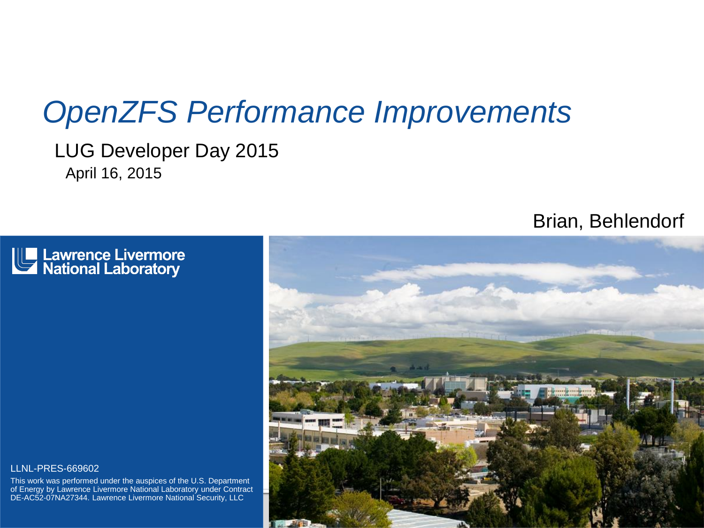### *OpenZFS Performance Improvements*

LUG Developer Day 2015 April 16, 2015



### Brian, Behlendorf



#### LLNL-PRES-669602

This work was performed under the auspices of the U.S. Department of Energy by Lawrence Livermore National Laboratory under Contract DE-AC52-07NA27344. Lawrence Livermore National Security, LLC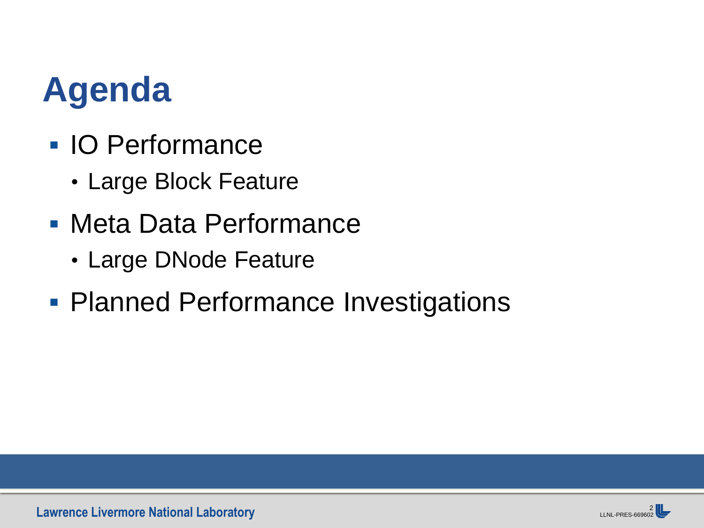### **Agenda**

- **IO Performance** 
	- Large Block Feature
- Meta Data Performance
	- Large DNode Feature
- **Planned Performance Investigations**

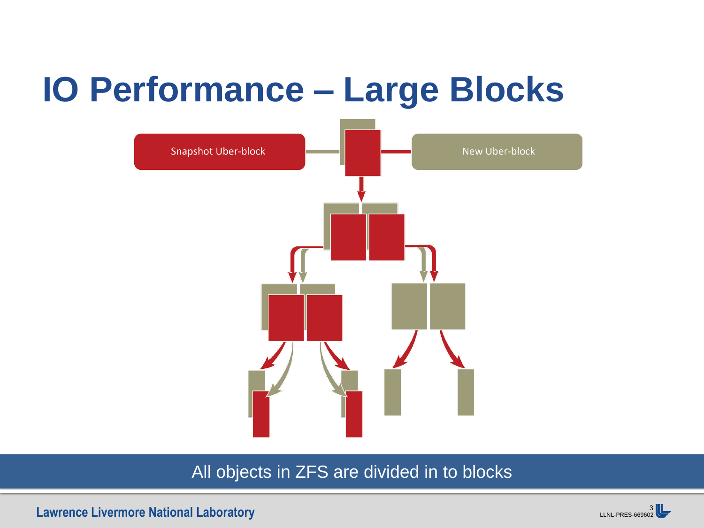### **IO Performance – Large Blocks**



### All objects in ZFS are divided in to blocks

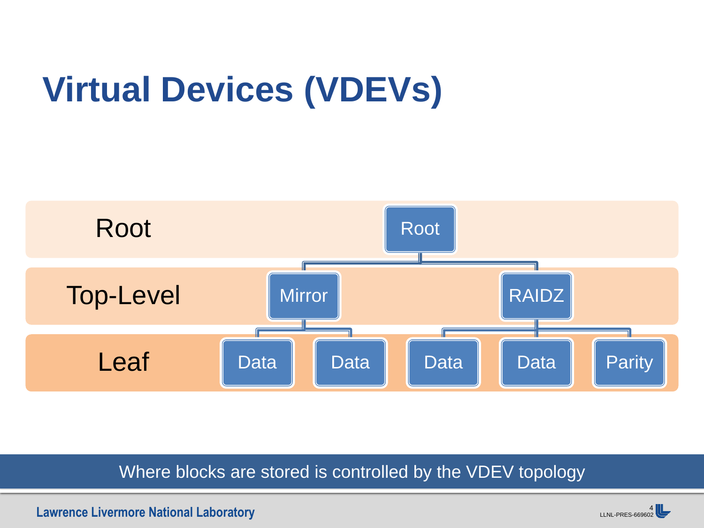# **Virtual Devices (VDEVs)**



Where blocks are stored is controlled by the VDEV topology

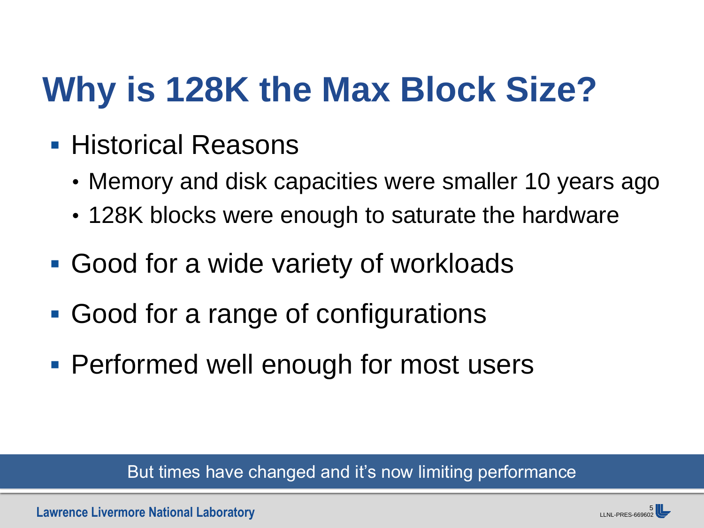## **Why is 128K the Max Block Size?**

- **Historical Reasons** 
	- Memory and disk capacities were smaller 10 years ago
	- 128K blocks were enough to saturate the hardware
- Good for a wide variety of workloads
- Good for a range of configurations
- Performed well enough for most users

But times have changed and it's now limiting performance

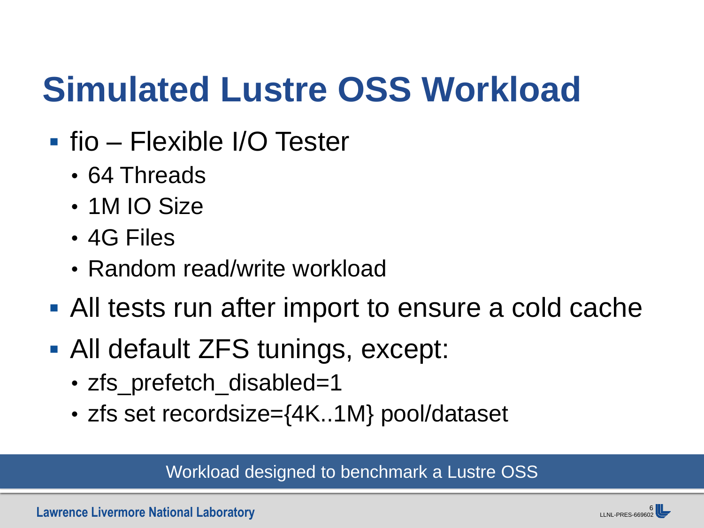### **Simulated Lustre OSS Workload**

- **fio Flexible I/O Tester** 
	- 64 Threads
	- 1M IO Size
	- 4G Files
	- Random read/write workload
- All tests run after import to ensure a cold cache
- All default ZFS tunings, except:
	- zfs\_prefetch\_disabled=1
	- zfs set recordsize={4K..1M} pool/dataset

Workload designed to benchmark a Lustre OSS

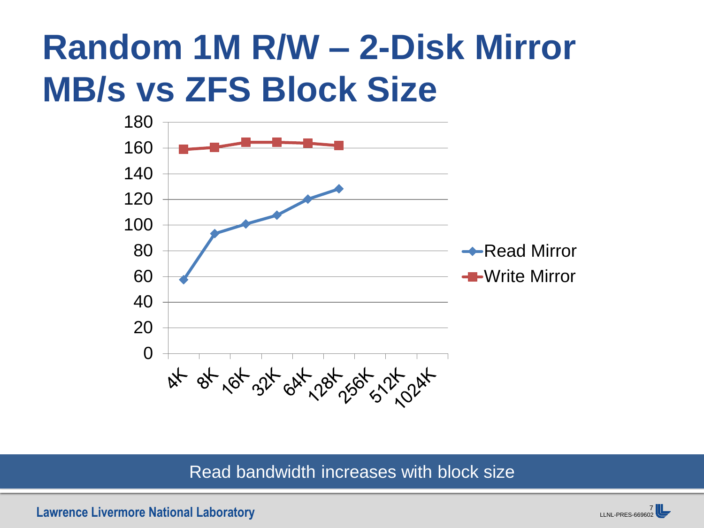### **Random 1M R/W – 2-Disk Mirror MB/s vs ZFS Block Size**



Read bandwidth increases with block size

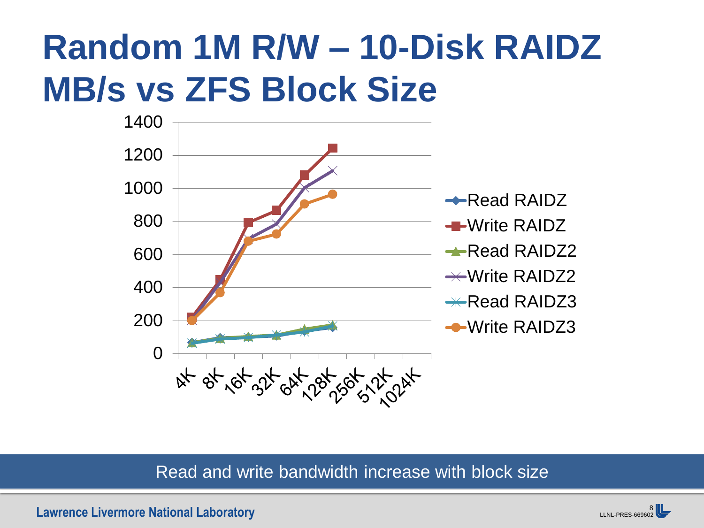### **Random 1M R/W – 10-Disk RAIDZ MB/s vs ZFS Block Size**



### Read and write bandwidth increase with block size

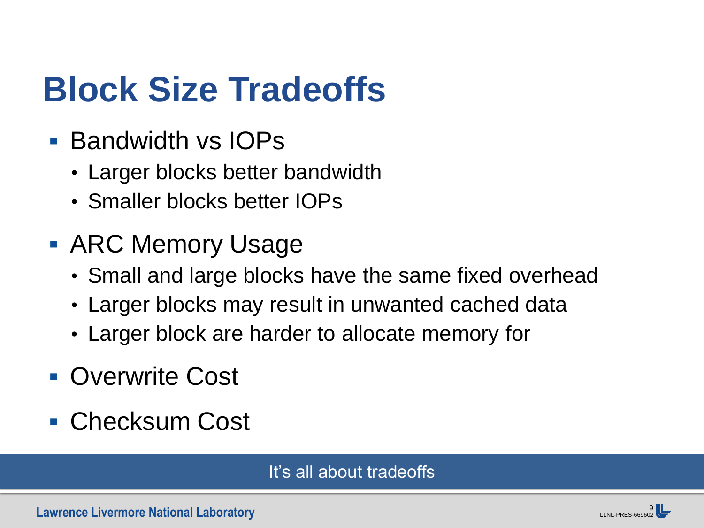### **Block Size Tradeoffs**

- **Bandwidth vs IOPs** 
	- Larger blocks better bandwidth
	- Smaller blocks better IOPs
- **ARC Memory Usage** 
	- Small and large blocks have the same fixed overhead
	- Larger blocks may result in unwanted cached data
	- Larger block are harder to allocate memory for
- **Overwrite Cost**
- Checksum Cost

### It's all about tradeoffs

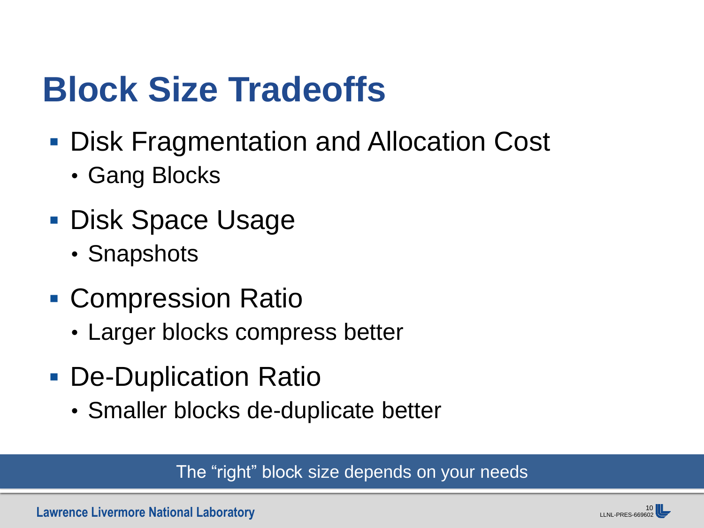### **Block Size Tradeoffs**

- Disk Fragmentation and Allocation Cost
	- Gang Blocks
- Disk Space Usage
	- Snapshots
- **Compression Ratio** 
	- Larger blocks compress better
- De-Duplication Ratio
	- Smaller blocks de-duplicate better

The "right" block size depends on your needs

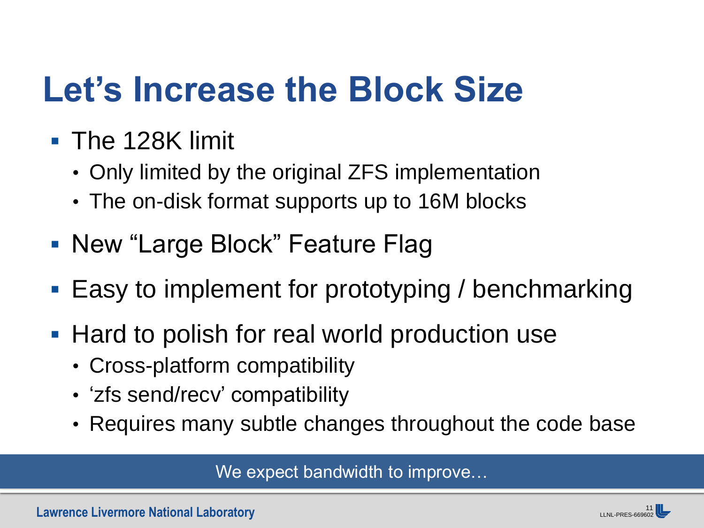### **Let's Increase the Block Size**

- **The 128K limit** 
	- Only limited by the original ZFS implementation
	- The on-disk format supports up to 16M blocks
- New "Large Block" Feature Flag
- Easy to implement for prototyping / benchmarking
- Hard to polish for real world production use
	- Cross-platform compatibility
	- 'zfs send/recv' compatibility
	- Requires many subtle changes throughout the code base

We expect bandwidth to improve...

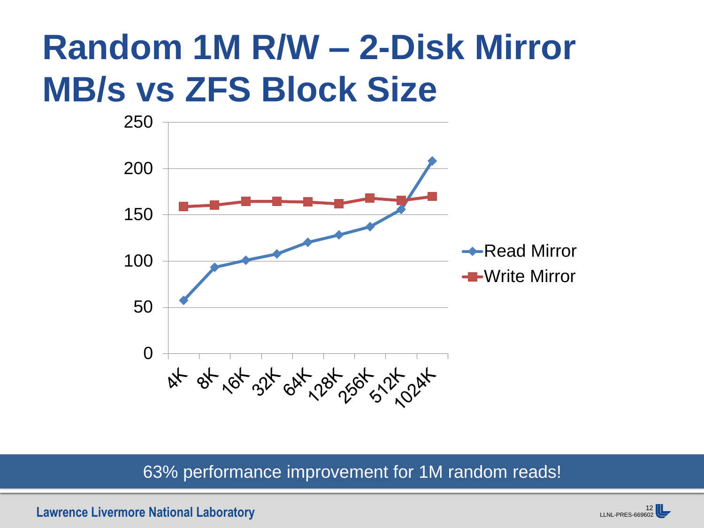### **Random 1M R/W – 2-Disk Mirror MB/s vs ZFS Block Size**



### 63% performance improvement for 1M random reads!

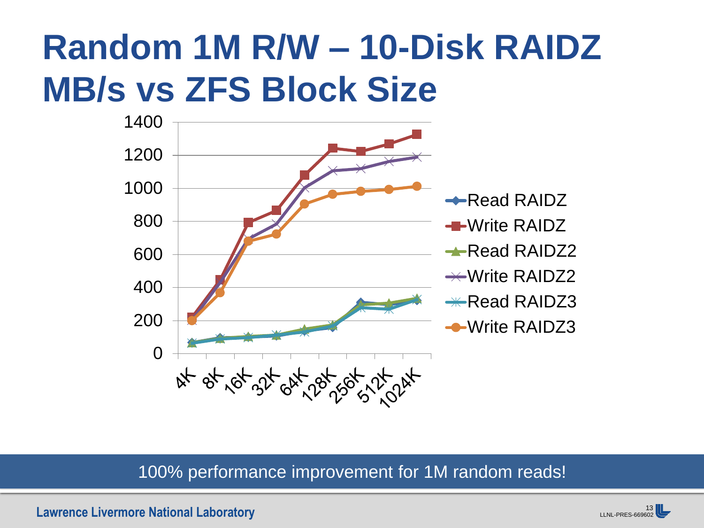### **Random 1M R/W – 10-Disk RAIDZ MB/s vs ZFS Block Size**



### 100% performance improvement for 1M random reads!

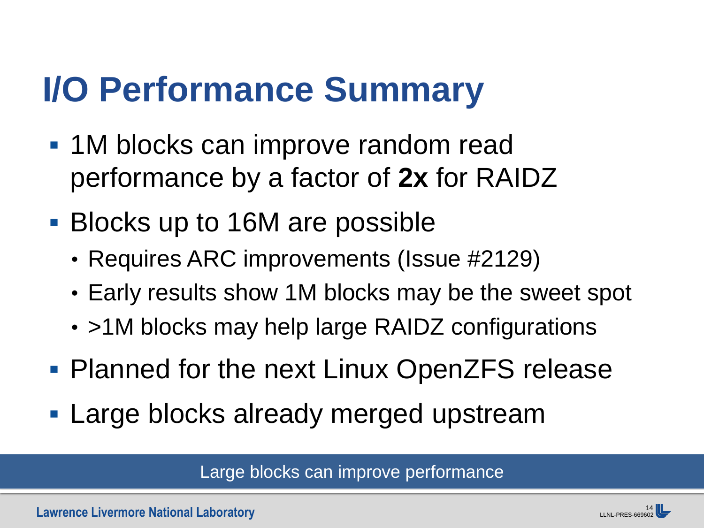### **I/O Performance Summary**

- **1M blocks can improve random read** performance by a factor of **2x** for RAIDZ
- Blocks up to 16M are possible
	- Requires ARC improvements (Issue #2129)
	- Early results show 1M blocks may be the sweet spot
	- >1M blocks may help large RAIDZ configurations
- **Planned for the next Linux OpenZFS release**
- **Large blocks already merged upstream**

Large blocks can improve performance

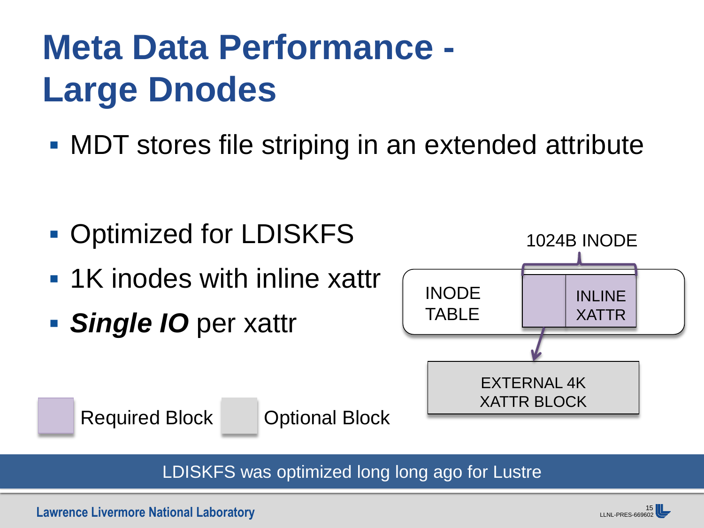## **Meta Data Performance - Large Dnodes**

**MDT** stores file striping in an extended attribute

- **Optimized for LDISKFS**
- **1K inodes with inline xattr**
- *Single IO* per xattr



Required Block **Optional Block** 

LDISKFS was optimized long long ago for Lustre

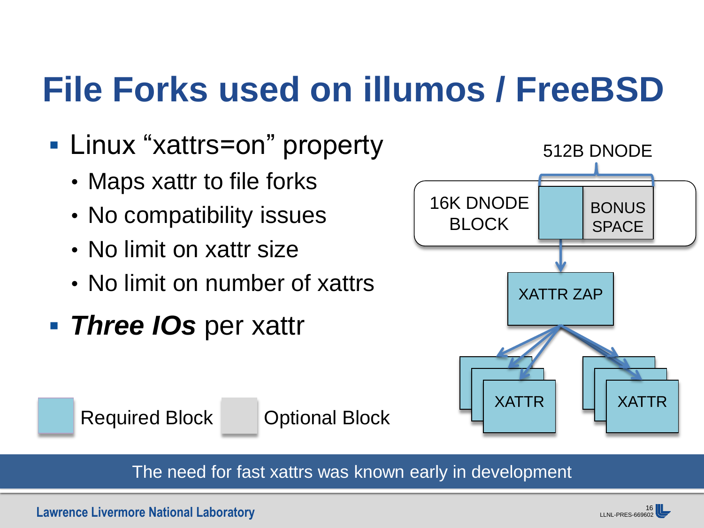## **File Forks used on illumos / FreeBSD**

- Linux "xattrs=on" property
	- Maps xattr to file forks
	- No compatibility issues
	- No limit on xattr size
	- No limit on number of xattrs
- *Three IOs* per xattr









16<br>LLNL-PRES-669602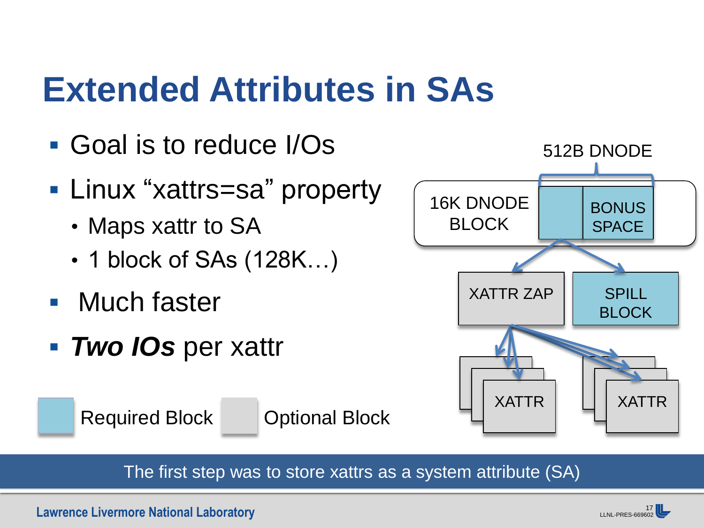### **Extended Attributes in SAs**

- Goal is to reduce I/Os
- Linux "xattrs=sa" property
	- Maps xattr to SA
	- 1 block of SAs (128K...)
- **Nuch faster**
- **Two IOs** per xattr

Required Block **Optional Block** 



The first step was to store xattrs as a system attribute (SA)

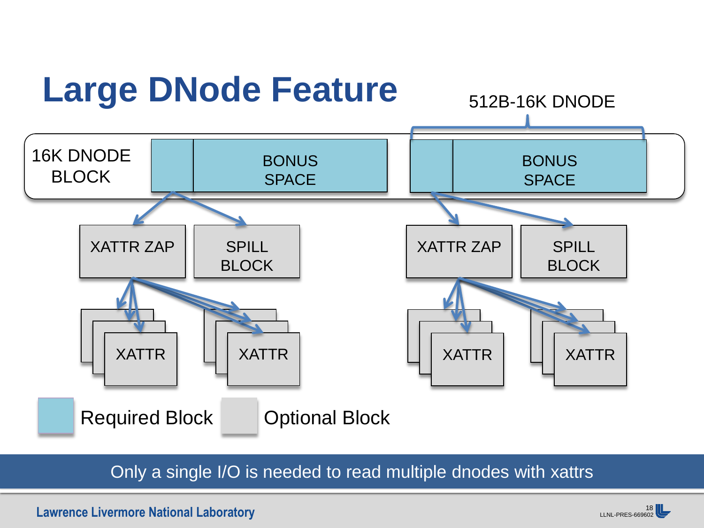

Only a single I/O is needed to read multiple dnodes with xattrs

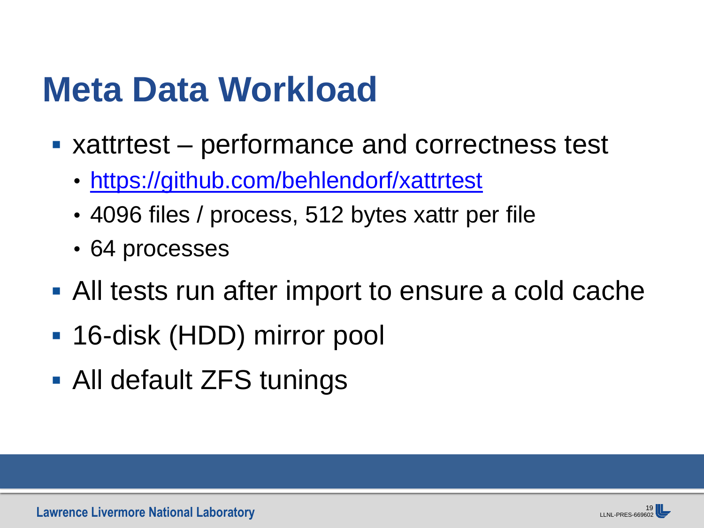### **Meta Data Workload**

- xattrtest performance and correctness test
	- <https://github.com/behlendorf/xattrtest>
	- 4096 files / process, 512 bytes xattr per file
	- 64 processes
- All tests run after import to ensure a cold cache
- 16-disk (HDD) mirror pool
- All default ZFS tunings

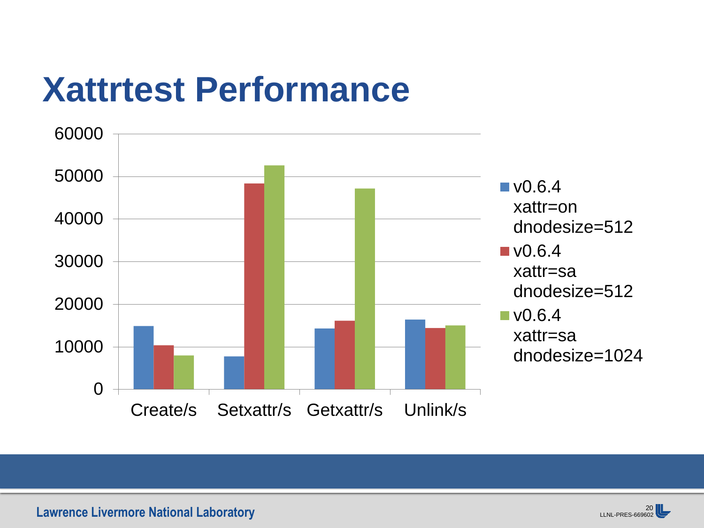### **Xattrtest Performance**



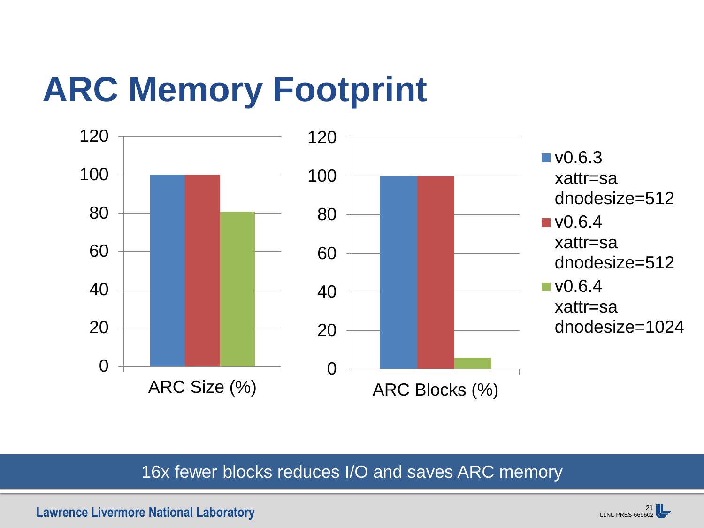## **ARC Memory Footprint**



### 16x fewer blocks reduces I/O and saves ARC memory

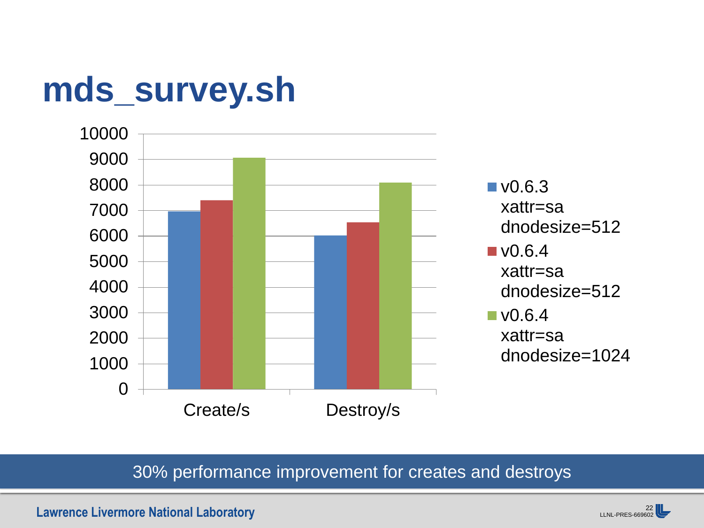### **mds\_survey.sh**



### 30% performance improvement for creates and destroys

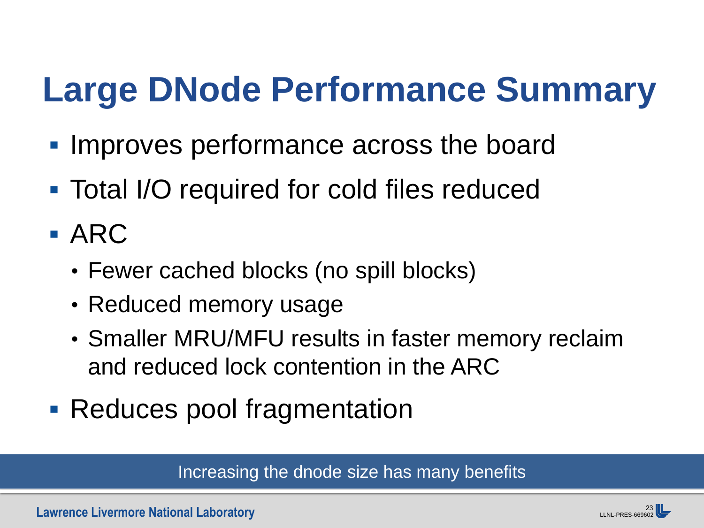## **Large DNode Performance Summary**

- **Improves performance across the board**
- Total I/O required for cold files reduced
- $\blacksquare$  ARC
	- Fewer cached blocks (no spill blocks)
	- Reduced memory usage
	- Smaller MRU/MFU results in faster memory reclaim and reduced lock contention in the ARC
- Reduces pool fragmentation

Increasing the dnode size has many benefits

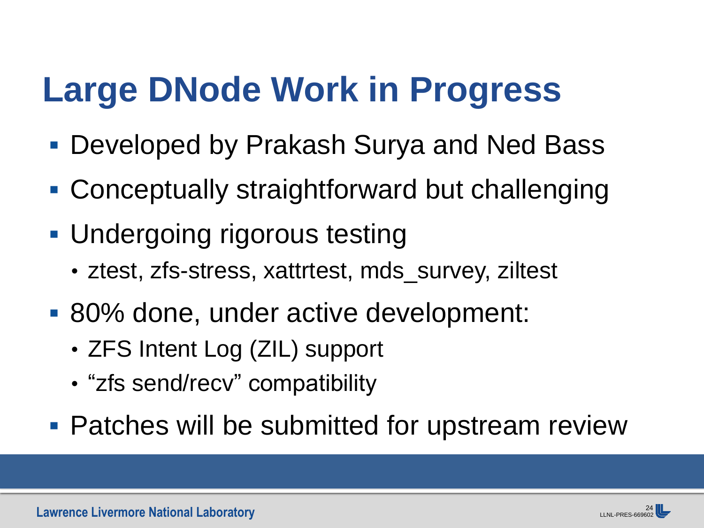## **Large DNode Work in Progress**

- Developed by Prakash Surya and Ned Bass
- Conceptually straightforward but challenging
- **Undergoing rigorous testing** 
	- ztest, zfs-stress, xattrtest, mds\_survey, ziltest
- 80% done, under active development:
	- ZFS Intent Log (ZIL) support
	- "zfs send/recv" compatibility
- Patches will be submitted for upstream review

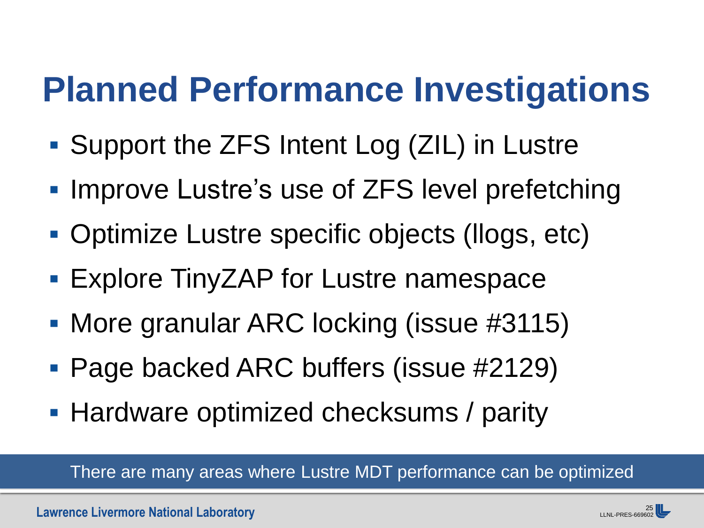### **Planned Performance Investigations**

- Support the ZFS Intent Log (ZIL) in Lustre
- **Improve Lustre's use of ZFS level prefetching**
- Optimize Lustre specific objects (llogs, etc)
- Explore TinyZAP for Lustre namespace
- More granular ARC locking (issue #3115)
- Page backed ARC buffers (issue #2129)
- Hardware optimized checksums / parity

There are many areas where Lustre MDT performance can be optimized

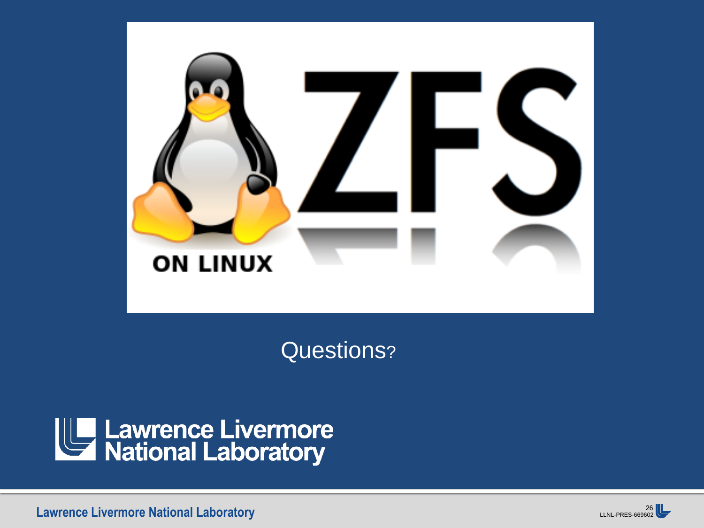

Questions?



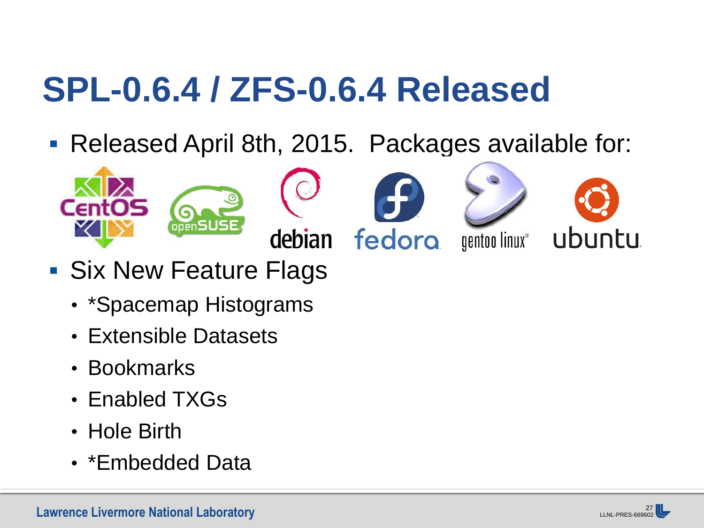## **SPL-0.6.4 / ZFS-0.6.4 Released**

■ Released April 8th, 2015. Packages available for:













- Six New Feature Flags
	- \*Spacemap Histograms
	- Extensible Datasets
	- Bookmarks
	- Enabled TXGs
	- Hole Birth
	- \*Embedded Data

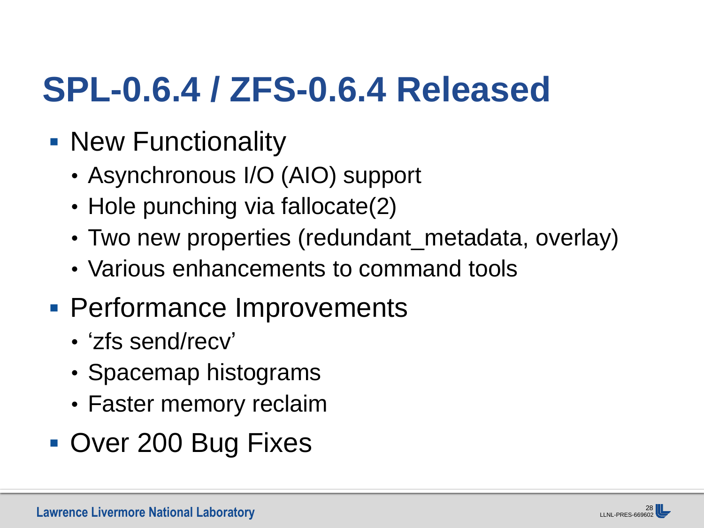## **SPL-0.6.4 / ZFS-0.6.4 Released**

- **New Functionality** 
	- Asynchronous I/O (AIO) support
	- Hole punching via fallocate(2)
	- Two new properties (redundant\_metadata, overlay)
	- Various enhancements to command tools
- **Performance Improvements** 
	- 'zfs send/recv'
	- Spacemap histograms
	- Faster memory reclaim
- **Over 200 Bug Fixes**